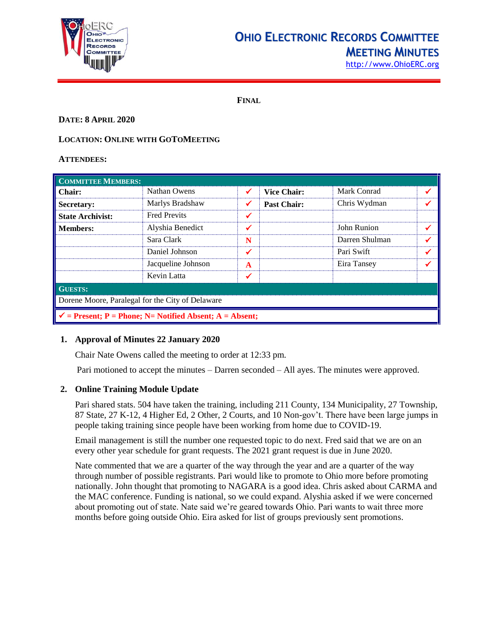

# **OHIO ELECTRONIC RECORDS COMMITTEE MEETING MINUTES**

[http://www.OhioERC.org](http://www.ohioerc.org/)

**FINAL**

# **DATE: 8 APRIL 2020**

# **LOCATION: ONLINE WITH GOTOMEETING**

#### **ATTENDEES:**

| <b>COMMITTEE MEMBERS:</b>                                           |                     |   |                    |                |  |  |
|---------------------------------------------------------------------|---------------------|---|--------------------|----------------|--|--|
| Chair:                                                              | Nathan Owens        | ✓ | <b>Vice Chair:</b> | Mark Conrad    |  |  |
| Secretary:                                                          | Marlys Bradshaw     | ✔ | <b>Past Chair:</b> | Chris Wydman   |  |  |
| <b>State Archivist:</b>                                             | <b>Fred Previts</b> | ✔ |                    |                |  |  |
| <b>Members:</b>                                                     | Alyshia Benedict    | ✔ |                    | John Runion    |  |  |
|                                                                     | Sara Clark          | N |                    | Darren Shulman |  |  |
|                                                                     | Daniel Johnson      | ✔ |                    | Pari Swift     |  |  |
|                                                                     | Jacqueline Johnson  | A |                    | Eira Tansey    |  |  |
|                                                                     | Kevin Latta         |   |                    |                |  |  |
| <b>GUESTS:</b>                                                      |                     |   |                    |                |  |  |
| Dorene Moore, Paralegal for the City of Delaware                    |                     |   |                    |                |  |  |
| $\checkmark$ = Present; P = Phone; N = Notified Absent; A = Absent; |                     |   |                    |                |  |  |

# **1. Approval of Minutes 22 January 2020**

Chair Nate Owens called the meeting to order at 12:33 pm.

Pari motioned to accept the minutes – Darren seconded – All ayes. The minutes were approved.

#### **2. Online Training Module Update**

Pari shared stats. 504 have taken the training, including 211 County, 134 Municipality, 27 Township, 87 State, 27 K-12, 4 Higher Ed, 2 Other, 2 Courts, and 10 Non-gov't. There have been large jumps in people taking training since people have been working from home due to COVID-19.

Email management is still the number one requested topic to do next. Fred said that we are on an every other year schedule for grant requests. The 2021 grant request is due in June 2020.

Nate commented that we are a quarter of the way through the year and are a quarter of the way through number of possible registrants. Pari would like to promote to Ohio more before promoting nationally. John thought that promoting to NAGARA is a good idea. Chris asked about CARMA and the MAC conference. Funding is national, so we could expand. Alyshia asked if we were concerned about promoting out of state. Nate said we're geared towards Ohio. Pari wants to wait three more months before going outside Ohio. Eira asked for list of groups previously sent promotions.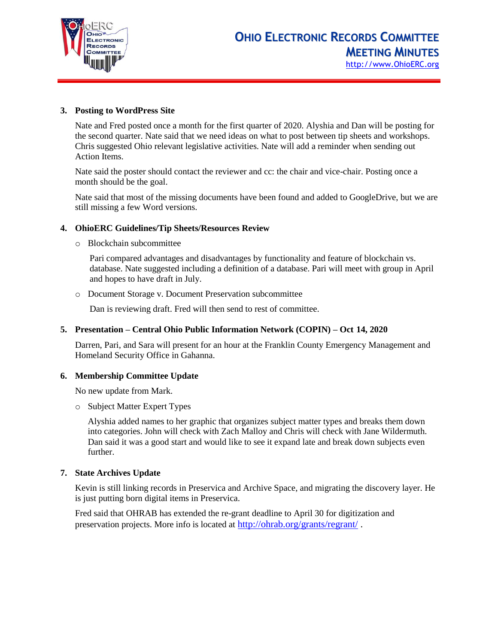

# **3. Posting to WordPress Site**

Nate and Fred posted once a month for the first quarter of 2020. Alyshia and Dan will be posting for the second quarter. Nate said that we need ideas on what to post between tip sheets and workshops. Chris suggested Ohio relevant legislative activities. Nate will add a reminder when sending out Action Items.

Nate said the poster should contact the reviewer and cc: the chair and vice-chair. Posting once a month should be the goal.

Nate said that most of the missing documents have been found and added to GoogleDrive, but we are still missing a few Word versions.

#### **4. OhioERC Guidelines/Tip Sheets/Resources Review**

o Blockchain subcommittee

Pari compared advantages and disadvantages by functionality and feature of blockchain vs. database. Nate suggested including a definition of a database. Pari will meet with group in April and hopes to have draft in July.

o Document Storage v. Document Preservation subcommittee

Dan is reviewing draft. Fred will then send to rest of committee.

#### **5. Presentation – Central Ohio Public Information Network (COPIN) – Oct 14, 2020**

Darren, Pari, and Sara will present for an hour at the Franklin County Emergency Management and Homeland Security Office in Gahanna.

#### **6. Membership Committee Update**

No new update from Mark.

o Subject Matter Expert Types

Alyshia added names to her graphic that organizes subject matter types and breaks them down into categories. John will check with Zach Malloy and Chris will check with Jane Wildermuth. Dan said it was a good start and would like to see it expand late and break down subjects even further.

#### **7. State Archives Update**

Kevin is still linking records in Preservica and Archive Space, and migrating the discovery layer. He is just putting born digital items in Preservica.

Fred said that OHRAB has extended the re-grant deadline to April 30 for digitization and preservation projects. More info is located at <http://ohrab.org/grants/regrant/> .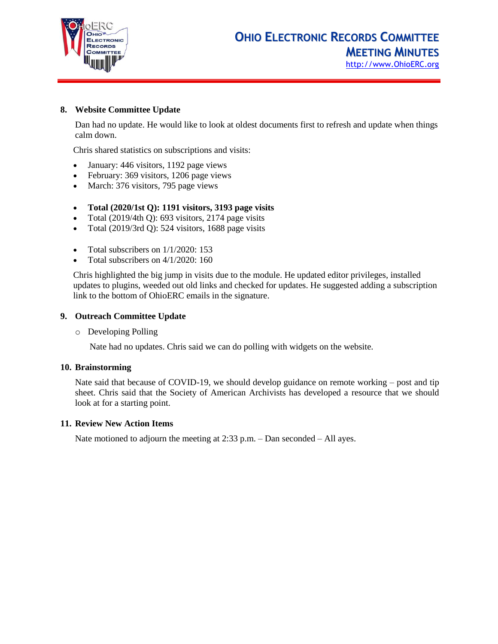

[http://www.OhioERC.org](http://www.ohioerc.org/)

# **8. Website Committee Update**

Dan had no update. He would like to look at oldest documents first to refresh and update when things calm down.

Chris shared statistics on subscriptions and visits:

- January: 446 visitors, 1192 page views
- February: 369 visitors, 1206 page views
- March: 376 visitors, 795 page views

#### • **Total (2020/1st Q): 1191 visitors, 3193 page visits**

- Total (2019/4th Q): 693 visitors, 2174 page visits
- Total (2019/3rd Q): 524 visitors, 1688 page visits
- Total subscribers on  $1/1/2020$ : 153
- Total subscribers on 4/1/2020: 160

Chris highlighted the big jump in visits due to the module. He updated editor privileges, installed updates to plugins, weeded out old links and checked for updates. He suggested adding a subscription link to the bottom of OhioERC emails in the signature.

#### **9. Outreach Committee Update**

o Developing Polling

Nate had no updates. Chris said we can do polling with widgets on the website.

#### **10. Brainstorming**

Nate said that because of COVID-19, we should develop guidance on remote working – post and tip sheet. Chris said that the Society of American Archivists has developed a resource that we should look at for a starting point.

#### **11. Review New Action Items**

Nate motioned to adjourn the meeting at 2:33 p.m. – Dan seconded – All ayes.